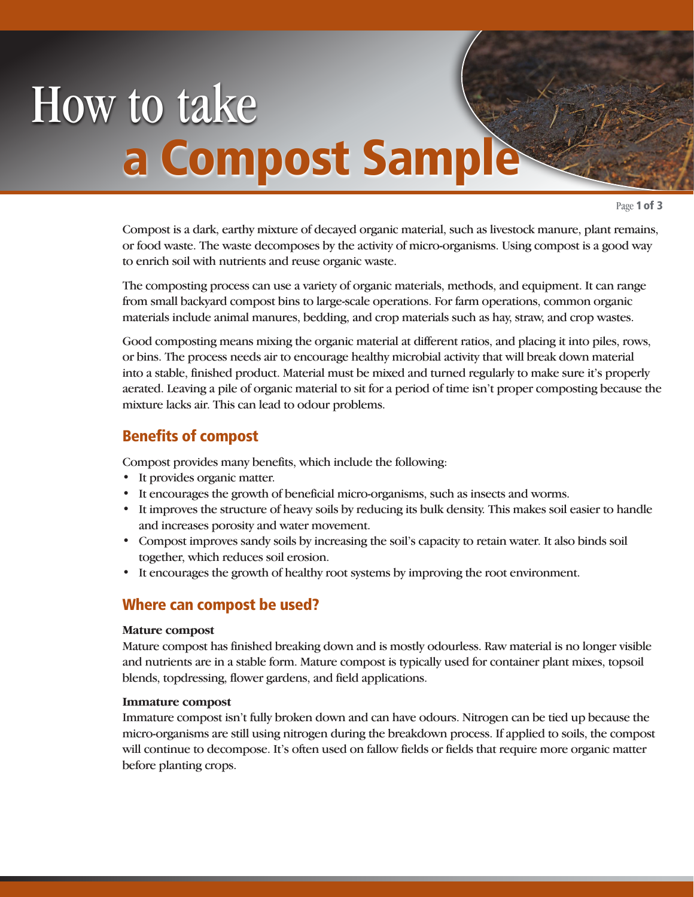# How to take a Compost Samp

Page 1 of 3

Compost is a dark, earthy mixture of decayed organic material, such as livestock manure, plant remains, or food waste. The waste decomposes by the activity of micro-organisms. Using compost is a good way to enrich soil with nutrients and reuse organic waste.

The composting process can use a variety of organic materials, methods, and equipment. It can range from small backyard compost bins to large-scale operations. For farm operations, common organic materials include animal manures, bedding, and crop materials such as hay, straw, and crop wastes.

Good composting means mixing the organic material at different ratios, and placing it into piles, rows, or bins. The process needs air to encourage healthy microbial activity that will break down material into a stable, finished product. Material must be mixed and turned regularly to make sure it's properly aerated. Leaving a pile of organic material to sit for a period of time isn't proper composting because the mixture lacks air. This can lead to odour problems.

## Benefits of compost

Compost provides many benefits, which include the following:

- It provides organic matter.
- It encourages the growth of beneficial micro-organisms, such as insects and worms.
- It improves the structure of heavy soils by reducing its bulk density. This makes soil easier to handle and increases porosity and water movement.
- Compost improves sandy soils by increasing the soil's capacity to retain water. It also binds soil together, which reduces soil erosion.
- It encourages the growth of healthy root systems by improving the root environment.

## Where can compost be used?

#### **Mature compost**

Mature compost has finished breaking down and is mostly odourless. Raw material is no longer visible and nutrients are in a stable form. Mature compost is typically used for container plant mixes, topsoil blends, topdressing, flower gardens, and field applications.

#### **Immature compost**

Immature compost isn't fully broken down and can have odours. Nitrogen can be tied up because the micro-organisms are still using nitrogen during the breakdown process. If applied to soils, the compost will continue to decompose. It's often used on fallow fields or fields that require more organic matter before planting crops.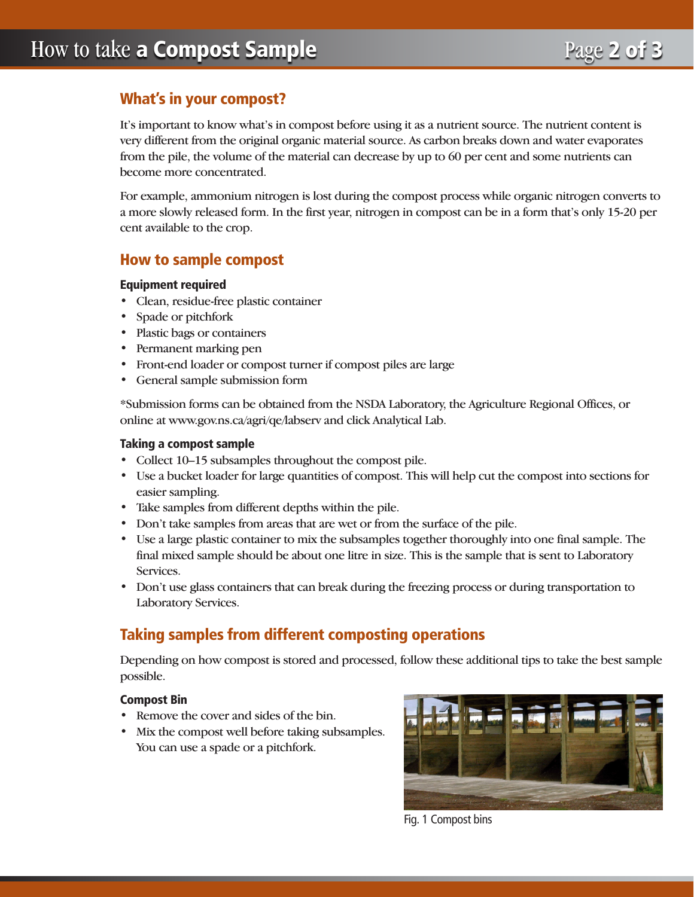# What's in your compost?

It's important to know what's in compost before using it as a nutrient source. The nutrient content is very different from the original organic material source. As carbon breaks down and water evaporates from the pile, the volume of the material can decrease by up to 60 per cent and some nutrients can become more concentrated.

For example, ammonium nitrogen is lost during the compost process while organic nitrogen converts to a more slowly released form. In the first year, nitrogen in compost can be in a form that's only 15-20 per cent available to the crop.

# How to sample compost

### Equipment required

- Clean, residue-free plastic container
- Spade or pitchfork
- Plastic bags or containers
- Permanent marking pen
- Front-end loader or compost turner if compost piles are large
- General sample submission form

\*Submission forms can be obtained from the NSDA Laboratory, the Agriculture Regional Offices, or online at www.gov.ns.ca/agri/qe/labserv and click Analytical Lab.

## Taking a compost sample

- Collect 10–15 subsamples throughout the compost pile.
- Use a bucket loader for large quantities of compost. This will help cut the compost into sections for easier sampling.
- Take samples from different depths within the pile.
- Don't take samples from areas that are wet or from the surface of the pile.
- Use a large plastic container to mix the subsamples together thoroughly into one final sample. The final mixed sample should be about one litre in size. This is the sample that is sent to Laboratory Services.
- Don't use glass containers that can break during the freezing process or during transportation to Laboratory Services.

# Taking samples from different composting operations

Depending on how compost is stored and processed, follow these additional tips to take the best sample possible.

## Compost Bin

- Remove the cover and sides of the bin.
- Mix the compost well before taking subsamples. You can use a spade or a pitchfork.



Fig. 1 Compost bins